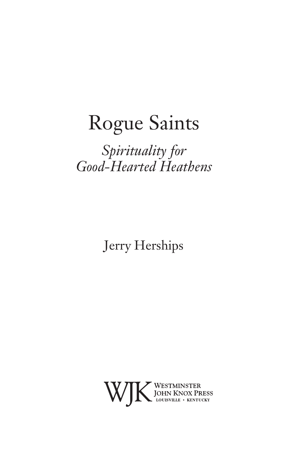# Rogue Saints

### *Spirituality for Good-Hearted Heathens*

Jerry Herships

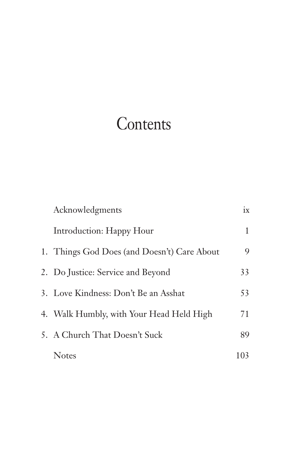## **Contents**

| Acknowledgments                             | ix  |
|---------------------------------------------|-----|
| Introduction: Happy Hour                    | 1   |
| 1. Things God Does (and Doesn't) Care About | 9   |
| 2. Do Justice: Service and Beyond           | 33  |
| 3. Love Kindness: Don't Be an Asshat        | 53  |
| 4. Walk Humbly, with Your Head Held High    | 71  |
| 5. A Church That Doesn't Suck               | 89  |
| <b>Notes</b>                                | 103 |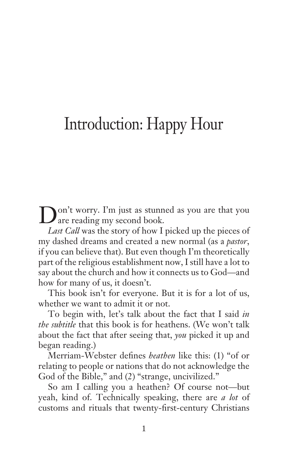### Introduction: Happy Hour

Don't worry. I'm just as stunned as you are that you are reading my second book.

*Last Call* was the story of how I picked up the pieces of my dashed dreams and created a new normal (as a *pastor*, if you can believe that). But even though I'm theoretically part of the religious establishment now, I still have a lot to say about the church and how it connects us to God—and how for many of us, it doesn't.

This book isn't for everyone. But it is for a lot of us, whether we want to admit it or not.

To begin with, let's talk about the fact that I said *in the subtitle* that this book is for heathens. (We won't talk about the fact that after seeing that, *you* picked it up and began reading.)

Merriam-Webster defines *heathen* like this: (1) "of or relating to people or nations that do not acknowledge the God of the Bible," and (2) "strange, uncivilized."

So am I calling you a heathen? Of course not—but yeah, kind of. Technically speaking, there are *a lot* of customs and rituals that twenty-first-century Christians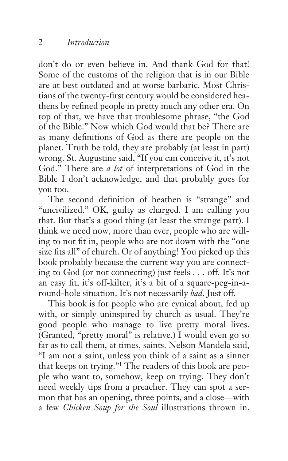don't do or even believe in. And thank God for that! Some of the customs of the religion that is in our Bible are at best outdated and at worse barbaric. Most Christians of the twenty-first century would be considered heathens by refined people in pretty much any other era. On top of that, we have that troublesome phrase, "the God of the Bible." Now which God would that be? There are as many definitions of God as there are people on the planet. Truth be told, they are probably (at least in part) wrong. St. Augustine said, "If you can conceive it, it's not God." There are *a lot* of interpretations of God in the Bible I don't acknowledge, and that probably goes for you too.

The second definition of heathen is "strange" and "uncivilized." OK, guilty as charged. I am calling you that. But that's a good thing (at least the strange part). I think we need now, more than ever, people who are willing to not fit in, people who are not down with the "one size fits all" of church. Or of anything! You picked up this book probably because the current way you are connecting to God (or not connecting) just feels . . . off. It's not an easy fit, it's off-kilter, it's a bit of a square-peg-in-around-hole situation. It's not necessarily *bad*. Just off.

This book is for people who are cynical about, fed up with, or simply uninspired by church as usual. They're good people who manage to live pretty moral lives. (Granted, "pretty moral" is relative.) I would even go so far as to call them, at times, saints. Nelson Mandela said, "I am not a saint, unless you think of a saint as a sinner that keeps on trying."1 The readers of this book are people who want to, somehow, keep on trying. They don't need weekly tips from a preacher. They can spot a sermon that has an opening, three points, and a close—with a few *Chicken Soup for the Soul* illustrations thrown in.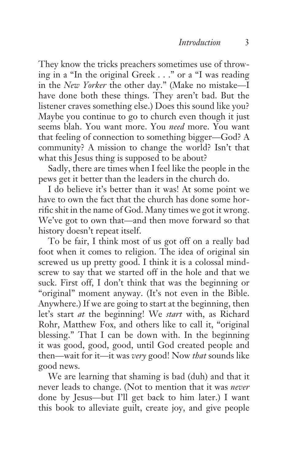They know the tricks preachers sometimes use of throwing in a "In the original Greek . . ." or a "I was reading in the *New Yorker* the other day." (Make no mistake—I have done both these things. They aren't bad. But the listener craves something else.) Does this sound like you? Maybe you continue to go to church even though it just seems blah. You want more. You *need* more. You want that feeling of connection to something bigger—God? A community? A mission to change the world? Isn't that what this Jesus thing is supposed to be about?

Sadly, there are times when I feel like the people in the pews get it better than the leaders in the church do.

I do believe it's better than it was! At some point we have to own the fact that the church has done some horrific shit in the name of God. Many times we got it wrong. We've got to own that—and then move forward so that history doesn't repeat itself.

To be fair, I think most of us got off on a really bad foot when it comes to religion. The idea of original sin screwed us up pretty good. I think it is a colossal mindscrew to say that we started off in the hole and that we suck. First off, I don't think that was the beginning or "original" moment anyway. (It's not even in the Bible. Anywhere.) If we are going to start at the beginning, then let's start *at* the beginning! We *start* with, as Richard Rohr, Matthew Fox, and others like to call it, "original blessing." That I can be down with. In the beginning it was good, good, good, until God created people and then—wait for it—it was *very* good! Now *that* sounds like good news.

We are learning that shaming is bad (duh) and that it never leads to change. (Not to mention that it was *never* done by Jesus—but I'll get back to him later.) I want this book to alleviate guilt, create joy, and give people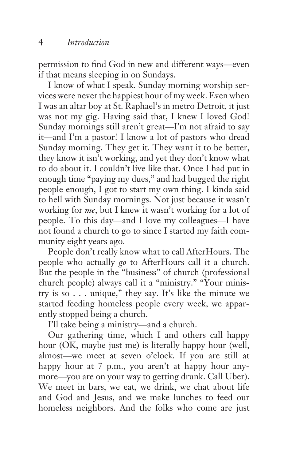permission to find God in new and different ways—even if that means sleeping in on Sundays.

I know of what I speak. Sunday morning worship services were never the happiest hour of my week. Even when I was an altar boy at St. Raphael's in metro Detroit, it just was not my gig. Having said that, I knew I loved God! Sunday mornings still aren't great—I'm not afraid to say it—and I'm a pastor! I know a lot of pastors who dread Sunday morning. They get it. They want it to be better, they know it isn't working, and yet they don't know what to do about it. I couldn't live like that. Once I had put in enough time "paying my dues," and had bugged the right people enough, I got to start my own thing. I kinda said to hell with Sunday mornings. Not just because it wasn't working for *me*, but I knew it wasn't working for a lot of people. To this day—and I love my colleagues—I have not found a church to go to since I started my faith community eight years ago.

People don't really know what to call AfterHours. The people who actually *go* to AfterHours call it a church. But the people in the "business" of church (professional church people) always call it a "ministry." "Your ministry is so  $\ldots$  unique," they say. It's like the minute we started feeding homeless people every week, we apparently stopped being a church.

I'll take being a ministry—and a church.

Our gathering time, which I and others call happy hour (OK, maybe just me) is literally happy hour (well, almost—we meet at seven o'clock. If you are still at happy hour at 7 p.m., you aren't at happy hour anymore—you are on your way to getting drunk. Call Uber). We meet in bars, we eat, we drink, we chat about life and God and Jesus, and we make lunches to feed our homeless neighbors. And the folks who come are just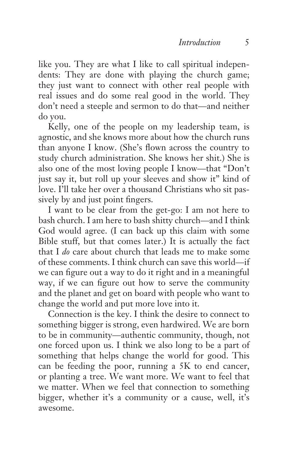like you. They are what I like to call spiritual independents: They are done with playing the church game; they just want to connect with other real people with real issues and do some real good in the world. They don't need a steeple and sermon to do that—and neither do you.

Kelly, one of the people on my leadership team, is agnostic, and she knows more about how the church runs than anyone I know. (She's flown across the country to study church administration. She knows her shit.) She is also one of the most loving people I know—that "Don't just say it, but roll up your sleeves and show it" kind of love. I'll take her over a thousand Christians who sit passively by and just point fingers.

I want to be clear from the get-go: I am not here to bash church. I am here to bash shitty church—and I think God would agree. (I can back up this claim with some Bible stuff, but that comes later.) It is actually the fact that I *do* care about church that leads me to make some of these comments. I think church can save this world—if we can figure out a way to do it right and in a meaningful way, if we can figure out how to serve the community and the planet and get on board with people who want to change the world and put more love into it.

Connection is the key. I think the desire to connect to something bigger is strong, even hardwired. We are born to be in community—authentic community, though, not one forced upon us. I think we also long to be a part of something that helps change the world for good. This can be feeding the poor, running a 5K to end cancer, or planting a tree. We want more. We want to feel that we matter. When we feel that connection to something bigger, whether it's a community or a cause, well, it's awesome.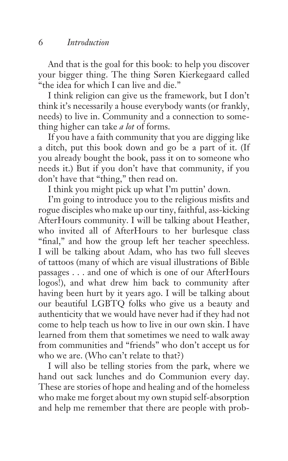And that is the goal for this book: to help you discover your bigger thing. The thing Søren Kierkegaard called "the idea for which I can live and die."

I think religion can give us the framework, but I don't think it's necessarily a house everybody wants (or frankly, needs) to live in. Community and a connection to something higher can take *a lot* of forms.

If you have a faith community that you are digging like a ditch, put this book down and go be a part of it. (If you already bought the book, pass it on to someone who needs it.) But if you don't have that community, if you don't have that "thing," then read on.

I think you might pick up what I'm puttin' down.

I'm going to introduce you to the religious misfits and rogue disciples who make up our tiny, faithful, ass-kicking AfterHours community. I will be talking about Heather, who invited all of AfterHours to her burlesque class "final," and how the group left her teacher speechless. I will be talking about Adam, who has two full sleeves of tattoos (many of which are visual illustrations of Bible passages . . . and one of which is one of our AfterHours logos!), and what drew him back to community after having been hurt by it years ago. I will be talking about our beautiful LGBTQ folks who give us a beauty and authenticity that we would have never had if they had not come to help teach us how to live in our own skin. I have learned from them that sometimes we need to walk away from communities and "friends" who don't accept us for who we are. (Who can't relate to that?)

I will also be telling stories from the park, where we hand out sack lunches and do Communion every day. These are stories of hope and healing and of the homeless who make me forget about my own stupid self-absorption and help me remember that there are people with prob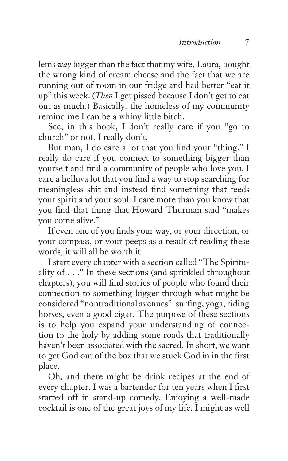lems *way* bigger than the fact that my wife, Laura, bought the wrong kind of cream cheese and the fact that we are running out of room in our fridge and had better "eat it up" this week. (*Then* I get pissed because I don't get to eat out as much.) Basically, the homeless of my community remind me I can be a whiny little bitch.

See, in this book, I don't really care if you "go to church" or not. I really don't.

But man, I do care a lot that you find your "thing." I really do care if you connect to something bigger than yourself and find a community of people who love you. I care a helluva lot that you find a way to stop searching for meaningless shit and instead find something that feeds your spirit and your soul. I care more than you know that you find that thing that Howard Thurman said "makes you come alive."

If even one of you finds your way, or your direction, or your compass, or your peeps as a result of reading these words, it will all be worth it.

I start every chapter with a section called "The Spirituality of . . ." In these sections (and sprinkled throughout chapters), you will find stories of people who found their connection to something bigger through what might be considered "nontraditional avenues": surfing, yoga, riding horses, even a good cigar. The purpose of these sections is to help you expand your understanding of connection to the holy by adding some roads that traditionally haven't been associated with the sacred. In short, we want to get God out of the box that we stuck God in in the first place.

Oh, and there might be drink recipes at the end of every chapter. I was a bartender for ten years when I first started off in stand-up comedy. Enjoying a well-made cocktail is one of the great joys of my life. I might as well